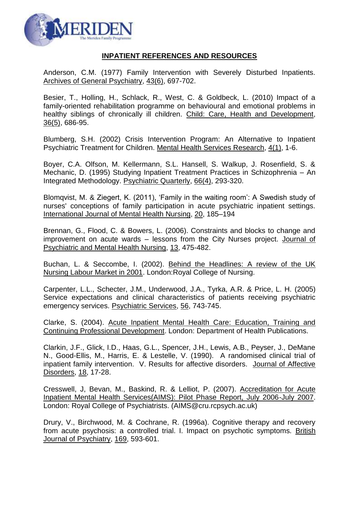

## **INPATIENT REFERENCES AND RESOURCES**

Anderson, C.M. (1977) Family Intervention with Severely Disturbed Inpatients. Archives of General Psychiatry, 43(6), 697-702.

Besier, T., Holling, H., Schlack, R., West, C. & Goldbeck, L. (2010) Impact of a family-oriented rehabilitation programme on behavioural and emotional problems in healthy siblings of chronically ill children. Child: Care, Health and Development, 36(5), 686-95.

Blumberg, S.H. (2002) Crisis Intervention Program: An Alternative to Inpatient Psychiatric Treatment for Children. Mental Health Services Research, 4(1), 1-6.

Boyer, C.A. Olfson, M. Kellermann, S.L. Hansell, S. Walkup, J. Rosenfield, S. & Mechanic, D. (1995) Studying Inpatient Treatment Practices in Schizophrenia – An Integrated Methodology. Psychiatric Quarterly, 66(4), 293-320.

Blomqvist, M. & Ziegert, K. (2011), 'Family in the waiting room': A Swedish study of nurses' conceptions of family participation in acute psychiatric inpatient settings. International Journal of Mental Health Nursing, 20, 185–194

Brennan, G., Flood, C. & Bowers, L. (2006). Constraints and blocks to change and improvement on acute wards – lessons from the City Nurses project. Journal of Psychiatric and Mental Health Nursing, 13, 475-482.

Buchan, L. & Seccombe, I. (2002). Behind the Headlines: A review of the UK Nursing Labour Market in 2001. London:Royal College of Nursing.

Carpenter, L.L., Schecter, J.M., Underwood, J.A., Tyrka, A.R. & Price, L. H. (2005) Service expectations and clinical characteristics of patients receiving psychiatric emergency services. Psychiatric Services, 56, 743-745.

Clarke, S. (2004). Acute Inpatient Mental Health Care: Education, Training and Continuing Professional Development. London: Department of Health Publications.

Clarkin, J.F., Glick, I.D., Haas, G.L., Spencer, J.H., Lewis, A.B., Peyser, J., DeMane N., Good-Ellis, M., Harris, E. & Lestelle, V. (1990). A randomised clinical trial of inpatient family intervention. V. Results for affective disorders. Journal of Affective Disorders, 18, 17-28.

Cresswell, J, Bevan, M., Baskind, R. & Lelliot, P. (2007). Accreditation for Acute Inpatient Mental Health Services(AIMS): Pilot Phase Report, July 2006-July 2007. London: Royal College of Psychiatrists. (AIMS@cru.rcpsych.ac.uk)

Drury, V., Birchwood, M. & Cochrane, R. (1996a). Cognitive therapy and recovery from acute psychosis: a controlled trial. I. Impact on psychotic symptoms. British Journal of Psychiatry, 169, 593-601.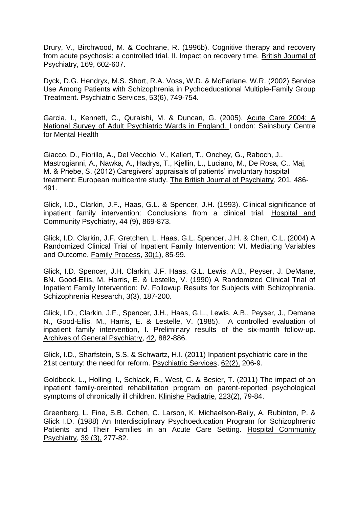Drury, V., Birchwood, M. & Cochrane, R. (1996b). Cognitive therapy and recovery from acute psychosis: a controlled trial. II. Impact on recovery time. British Journal of Psychiatry, 169, 602-607.

Dyck, D.G. Hendryx, M.S. Short, R.A. Voss, W.D. & McFarlane, W.R. (2002) Service Use Among Patients with Schizophrenia in Pychoeducational Multiple-Family Group Treatment. Psychiatric Services, 53(6), 749-754.

Garcia, I., Kennett, C., Quraishi, M. & Duncan, G. (2005). Acute Care 2004: A National Survey of Adult Psychiatric Wards in England. London: Sainsbury Centre for Mental Health

Giacco, D., Fiorillo, A., Del Vecchio, V., Kallert, T., Onchey, G., Raboch, J., Mastrogianni, A., Nawka, A., Hadrys, T., Kjellin, L., Luciano, M., De Rosa, C., Maj, M. & Priebe, S. (2012) Caregivers' appraisals of patients' involuntary hospital treatment: European multicentre study. The British Journal of Psychiatry, 201, 486- 491.

Glick, I.D., Clarkin, J.F., Haas, G.L. & Spencer, J.H. (1993). Clinical significance of inpatient family intervention: Conclusions from a clinical trial. Hospital and Community Psychiatry, 44 (9), 869-873.

Glick, I.D. Clarkin, J.F. Gretchen, L. Haas, G.L. Spencer, J.H. & Chen, C.L. (2004) A Randomized Clinical Trial of Inpatient Family Intervention: VI. Mediating Variables and Outcome. Family Process, 30(1), 85-99.

Glick, I.D. Spencer, J.H. Clarkin, J.F. Haas, G.L. Lewis, A.B., Peyser, J. DeMane, BN. Good-Ellis, M. Harris, E. & Lestelle, V. (1990) A Randomized Clinical Trial of Inpatient Family Intervention: IV. Followup Results for Subjects with Schizophrenia. Schizophrenia Research, 3(3), 187-200.

Glick, I.D., Clarkin, J.F., Spencer, J.H., Haas, G.L., Lewis, A.B., Peyser, J., Demane N., Good-Ellis, M., Harris, E. & Lestelle, V. (1985). A controlled evaluation of inpatient family intervention, I. Preliminary results of the six-month follow-up. Archives of General Psychiatry, 42, 882-886.

Glick, I.D., Sharfstein, S.S. & Schwartz, H.I. (2011) [Inpatient psychiatric care in the](http://www.ncbi.nlm.nih.gov/pubmed/21285100)  [21st century: the need for reform.](http://www.ncbi.nlm.nih.gov/pubmed/21285100) Psychiatric Services, 62(2), 206-9.

Goldbeck, L., Holling, I., Schlack, R., West, C. & Besier, T. (2011) The impact of an inpatient family-oreinted rehabilitation program on parent-reported psychological symptoms of chronically ill children. Klinishe Padiatrie, 223(2), 79-84.

Greenberg, L. Fine, S.B. Cohen, C. Larson, K. Michaelson-Baily, A. Rubinton, P. & Glick I.D. (1988) An Interdisciplinary Psychoeducation Program for Schizophrenic Patients and Their Families in an Acute Care Setting. Hospital Community Psychiatry, 39 (3), 277-82.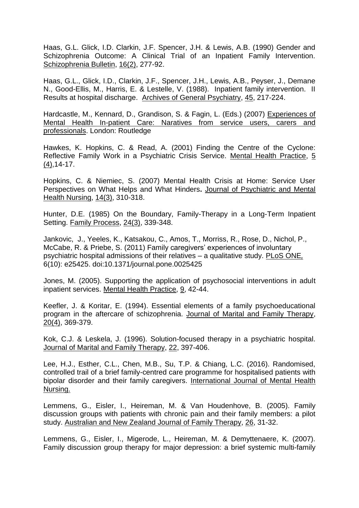Haas, G.L. Glick, I.D. Clarkin, J.F. Spencer, J.H. & Lewis, A.B. (1990) Gender and Schizophrenia Outcome: A Clinical Trial of an Inpatient Family Intervention. Schizophrenia Bulletin, 16(2), 277-92.

Haas, G.L., Glick, I.D., Clarkin, J.F., Spencer, J.H., Lewis, A.B., Peyser, J., Demane N., Good-Ellis, M., Harris, E. & Lestelle, V. (1988). Inpatient family intervention. II Results at hospital discharge. Archives of General Psychiatry, 45, 217-224.

Hardcastle, M., Kennard, D., Grandison, S. & Fagin, L. (Eds.) (2007) Experiences of Mental Health In-patient Care: Naratives from service users, carers and professionals. London: Routledge

Hawkes, K. Hopkins, C. & Read, A. (2001) Finding the Centre of the Cyclone: Reflective Family Work in a Psychiatric Crisis Service. Mental Health Practice, 5  $(4)$ , 14-17.

Hopkins, C. & Niemiec, S. (2007) Mental Health Crisis at Home: Service User Perspectives on What Helps and What Hinders**.** Journal of Psychiatric and Mental Health Nursing, 14(3), 310-318.

Hunter, D.E. (1985) On the Boundary, Family-Therapy in a Long-Term Inpatient Setting. Family Process, 24(3), 339-348.

Jankovic, J., Yeeles, K., Katsakou, C., Amos, T., Morriss, R., Rose, D., Nichol, P., McCabe, R. & Priebe, S. (2011) Family caregivers' experiences of involuntary psychiatric hospital admissions of their relatives – a qualitative study. PLoS ONE*,* 6(10): e25425. doi:10.1371/journal.pone.0025425

Jones, M. (2005). Supporting the application of psychosocial interventions in adult inpatient services. Mental Health Practice, 9, 42-44.

Keefler, J. & Koritar, E. (1994). Essential elements of a family psychoeducational program in the aftercare of schizophrenia. Journal of Marital and Family Therapy, 20(4), 369-379.

Kok, C.J. & Leskela, J. (1996). Solution-focused therapy in a psychiatric hospital. Journal of Marital and Family Therapy, 22, 397-406.

Lee, H.J., Esther, C.L., Chen, M.B., Su, T.P. & Chiang, L.C. (2016). Randomised, controlled trail of a brief family-centred care programme for hospitalised patients with bipolar disorder and their family caregivers. International Journal of Mental Health Nursing.

Lemmens, G., Eisler, I., Heireman, M. & Van Houdenhove, B. (2005). Family discussion groups with patients with chronic pain and their family members: a pilot study. Australian and New Zealand Journal of Family Therapy, 26, 31-32.

Lemmens, G., Eisler, I., Migerode, L., Heireman, M. & Demyttenaere, K. (2007). Family discussion group therapy for major depression: a brief systemic multi-family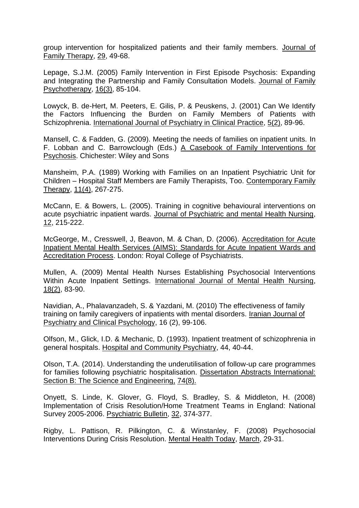group intervention for hospitalized patients and their family members. Journal of Family Therapy, 29, 49-68.

Lepage, S.J.M. (2005) Family Intervention in First Episode Psychosis: Expanding and Integrating the Partnership and Family Consultation Models. Journal of Family Psychotherapy, 16(3), 85-104.

Lowyck, B. de-Hert, M. Peeters, E. Gilis, P. & Peuskens, J. (2001) Can We Identify the Factors Influencing the Burden on Family Members of Patients with Schizophrenia. International Journal of Psychiatry in Clinical Practice, 5(2), 89-96.

Mansell, C. & Fadden, G. (2009). Meeting the needs of families on inpatient units. In F. Lobban and C. Barrowclough (Eds.) A Casebook of Family Interventions for Psychosis. Chichester: Wiley and Sons

Mansheim, P.A. (1989) Working with Families on an Inpatient Psychiatric Unit for Children – Hospital Staff Members are Family Therapists, Too. Contemporary Family Therapy, 11(4), 267-275.

McCann, E. & Bowers, L. (2005). Training in cognitive behavioural interventions on acute psychiatric inpatient wards. Journal of Psychiatric and mental Health Nursing, 12, 215-222.

McGeorge, M., Cresswell, J, Beavon, M. & Chan, D. (2006). Accreditation for Acute Inpatient Mental Health Services (AIMS): Standards for Acute Inpatient Wards and Accreditation Process. London: Royal College of Psychiatrists.

Mullen, A. (2009) Mental Health Nurses Establishing Psychosocial Interventions Within Acute Inpatient Settings. International Journal of Mental Health Nursing, 18(2), 83-90.

Navidian, A., Phalavanzadeh, S. & Yazdani, M. (2010) The effectiveness of family training on family caregivers of inpatients with mental disorders. Iranian Journal of Psychiatry and Clinical Psychology, 16 (2), 99-106.

Olfson, M., Glick, I.D. & Mechanic, D. (1993). Inpatient treatment of schizophrenia in general hospitals. Hospital and Community Psychiatry, 44, 40-44.

Olson, T.A. (2014). Understanding the underutilisation of follow-up care programmes for families following psychiatric hospitalisation. Dissertation Abstracts International: Section B: The Science and Engineering, 74(8).

Onyett, S. Linde, K. Glover, G. Floyd, S. Bradley, S. & Middleton, H. (2008) Implementation of Crisis Resolution/Home Treatment Teams in England: National Survey 2005-2006. Psychiatric Bulletin, 32, 374-377.

Rigby, L. Pattison, R. Pilkington, C. & Winstanley, F. (2008) Psychosocial Interventions During Crisis Resolution. Mental Health Today, March, 29-31.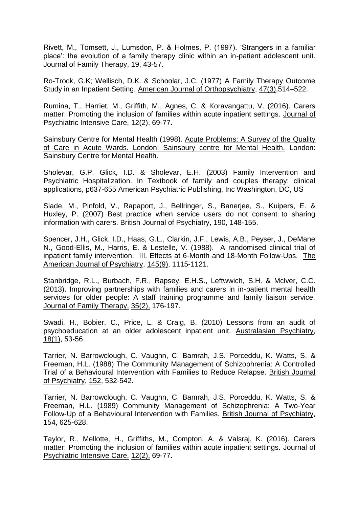Rivett, M., Tomsett, J., Lumsdon, P. & Holmes, P. (1997). 'Strangers in a familiar place': the evolution of a family therapy clinic within an in-patient adolescent unit. Journal of Family Therapy, 19, 43-57.

Ro-Trock, G.K; Wellisch, D.K. & Schoolar, J.C. (1977) A Family Therapy Outcome Study in an Inpatient Setting. American Journal of Orthopsychiatry, 47(3),514–522.

Rumina, T., Harriet, M., Griffith, M., Agnes, C. & Koravangattu, V. (2016). Carers matter: Promoting the inclusion of families within acute inpatient settings. Journal of Psychiatric Intensive Care, 12(2), 69-77.

Sainsbury Centre for Mental Health (1998). Acute Problems: A Survey of the Quality of Care in Acute Wards. London: Sainsbury centre for Mental Health. London: Sainsbury Centre for Mental Health.

Sholevar, G.P. Glick, I.D. & Sholevar, E.H. (2003) Family Intervention and Psychiatric Hospitalization. In Textbook of family and couples therapy: clinical applications, p637-655 American Psychiatric Publishing, Inc Washington, DC, US

Slade, M., Pinfold, V., Rapaport, J., Bellringer, S., Banerjee, S., Kuipers, E. & Huxley, P. (2007) Best practice when service users do not consent to sharing information with carers. British Journal of Psychiatry, 190, 148-155.

Spencer, J.H., Glick, I.D., Haas, G.L., Clarkin, J.F., Lewis, A.B., Peyser, J., DeMane N., Good-Ellis, M., Harris, E. & Lestelle, V. (1988). A randomised clinical trial of inpatient family intervention. III. Effects at 6-Month and 18-Month Follow-Ups. The American Journal of Psychiatry, 145(9), 1115-1121.

Stanbridge, R.L., Burbach, F.R., Rapsey, E.H.S., Leftwwich, S.H. & Mclver, C.C. (2013). Improving partnerships with families and carers in in-patient mental health services for older people: A staff training programme and family liaison service. Journal of Family Therapy, 35(2), 176-197.

Swadi, H., Bobier, C., Price, L. & Craig, B. (2010) Lessons from an audit of psychoeducation at an older adolescent inpatient unit. Australasian Psychiatry,  $18(1)$ , 53-56.

Tarrier, N. Barrowclough, C. Vaughn, C. Bamrah, J.S. Porceddu, K. Watts, S. & Freeman, H.L. (1988) The Community Management of Schizophrenia: A Controlled Trial of a Behavioural Intervention with Families to Reduce Relapse. British Journal of Psychiatry, 152, 532-542.

Tarrier, N. Barrowclough, C. Vaughn, C. Bamrah, J.S. Porceddu, K. Watts, S. & Freeman, H.L. (1989) Community Management of Schizophrenia: A Two-Year Follow-Up of a Behavioural Intervention with Families. British Journal of Psychiatry, 154, 625-628.

Taylor, R., Mellotte, H., Griffiths, M., Compton, A. & Valsraj, K. (2016). Carers matter: Promoting the inclusion of families within acute inpatient settings. Journal of Psychiatric Intensive Care, 12(2), 69-77.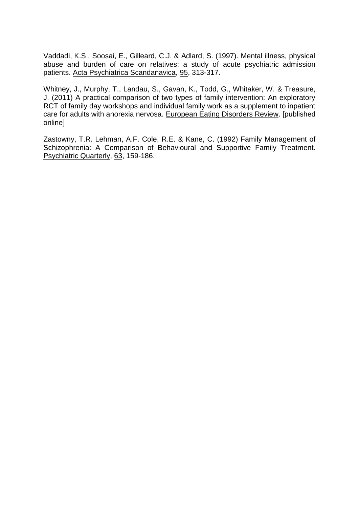Vaddadi, K.S., Soosai, E., Gilleard, C.J. & Adlard, S. (1997). Mental illness, physical abuse and burden of care on relatives: a study of acute psychiatric admission patients. Acta Psychiatrica Scandanavica, 95, 313-317.

Whitney, J., Murphy, T., Landau, S., Gavan, K., Todd, G., Whitaker, W. & Treasure, J. (2011) A practical comparison of two types of family intervention: An exploratory RCT of family day workshops and individual family work as a supplement to inpatient care for adults with anorexia nervosa. European Eating Disorders Review. [published online]

Zastowny, T.R. Lehman, A.F. Cole, R.E. & Kane, C. (1992) Family Management of Schizophrenia: A Comparison of Behavioural and Supportive Family Treatment. Psychiatric Quarterly, 63, 159-186.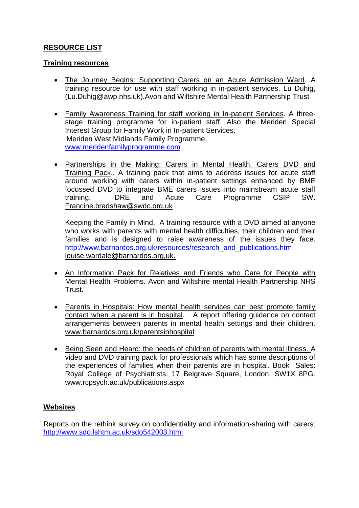# **RESOURCE LIST**

## **Training resources**

- The Journey Begins: Supporting Carers on an Acute Admission Ward. A training resource for use with staff working in in-patient services. Lu Duhig, (Lu.Duhig@awp.nhs.uk).Avon and Wiltshire Mental Health Partnership Trust
- Family Awareness Training for staff working in In-patient Services. A threestage training programme for in-patient staff. Also the Meriden Special Interest Group for Family Work in In-patient Services. Meriden West Midlands Family Programme, [www.meridenfamilyprogramme.com](http://www.meridenfamilyprogramme.com/)
- Partnerships in the Making: Carers in Mental Health. Carers DVD and Training Pack., A training pack that aims to address issues for acute staff around working with carers within in-patient settings enhanced by BME focussed DVD to integrate BME carers issues into mainstream acute staff training. DRE and Acute Care Programme CSIP SW. Francine.bradshaw@swdc.org.uk

Keeping the Family in Mind. A training resource with a DVD aimed at anyone who works with parents with mental health difficulties, their children and their families and is designed to raise awareness of the issues they face. [http://www.barnardos.org.uk/resources/research\\_and\\_publications.htm.](http://www.barnardos.org.uk/resources/research_and_publications.htm) [louise.wardale@barnardos.org,uk.](mailto:louise.wardale@barnardos.org,uk)

- An Information Pack for Relatives and Friends who Care for People with Mental Health Problems. Avon and Wiltshire mental Health Partnership NHS Trust.
- Parents in Hospitals: How mental health services can best promote family contact when a parent is in hospital. A report offering guidance on contact arrangements between parents in mental health settings and their children. www.barnardos.org.uk/parentsinhospital
- Being Seen and Heard: the needs of children of parents with mental illness. A video and DVD training pack for professionals which has some descriptions of the experiences of families when their parents are in hospital. Book Sales: Royal College of Psychiatrists, 17 Belgrave Square, London, SW1X 8PG. www.rcpsych.ac.uk/publications.aspx

# **Websites**

Reports on the rethink survey on confidentiality and information-sharing with carers: <http://www.sdo.lshtm.ac.uk/sdo542003.html>